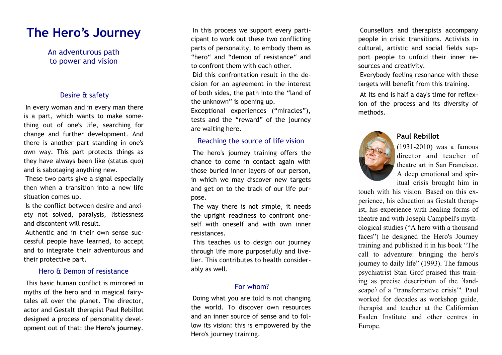# **The Hero's Journey**

An adventurous path to power and vision

## Desire & safety

In every woman and in every man there is a part, which wants to make some thing out of one's life, searching for change and further development. And there is another part standing in one's own way. This part protects things as they have always been like (status quo) and is sabotaging anything new.

These two parts give a signal especially then when a transition into a new life situation comes up.

Is the conflict between desire and anxi ety not solved, paralysis, listlessness and discontent will result.

Authentic and in their own sense suc cessful people have learned, to accept and to integrate their adventurous and their protective part.

## Hero & Demon of resistance

This basic human conflict is mirrored in myths of the hero and in magical fairytales all over the planet. The director, actor and Gestalt therapist Paul Rebillot designed a process of personality devel opment out of that: the **Hero's journey** .

In this process we support every participant to work out these two conflicting parts of personality, to embody them as "hero" and "demon of resistance" and to confront them with each other. Did this confrontation result in the de cision for an agreement in the interest of both sides, the path into the "land of the unknown" is opening up. Exceptional experiences ("miracles"), tests and the "reward" of the journey

#### Reaching the source of life vision

are waiting here.

The hero's journey training offers the chance to come in contact again with those buried inner layers of our person, in which we may discover new targets and get on to the track of our life pur pose.

The way there is not simple, it needs the upright readiness to confront one self with oneself and with own inner resistances.

This teaches us to design our journey through life more purposefully and live lier. This contributes to health consider ably as well.

# For whom?

Doing what you are told is not changing the world. To discover own resources and an inner source of sense and to fol low its vision: this is empowered by the Hero's journey training.

Counsellors and therapists accompany people in crisic transitions. Activists in cultural, artistic and social fields sup port people to unfold their inner re sources and creativity.

Everybody feeling resonance with these targets will benefit from this training.

At its end is half a day's time for reflex ion of the process and its diversity of methods.

# **Paul Rebillot**



(1931-2010) was a famous director and teacher of theatre art in San Francisco. A deep emotional and spir itual crisis brought him in

touch with his vision. Based on this ex perience, his education as Gestalt therap ist, his experience with healing forms of theatre and with Joseph Campbell's myth ological studies ("A hero with a thousand faces") he designed the Hero's Journey training and published it in his book "The call to adventure: bringing the hero's journey to daily life" (1993). The famous psychiatrist Stan Grof praised this train ing as precise description of the 'land scape<sup>5</sup> of a "transformative crisis"'. Paul worked for decades as workshop guide, therapist and teacher at the Californian Esalen Institute and other centres in Europe.